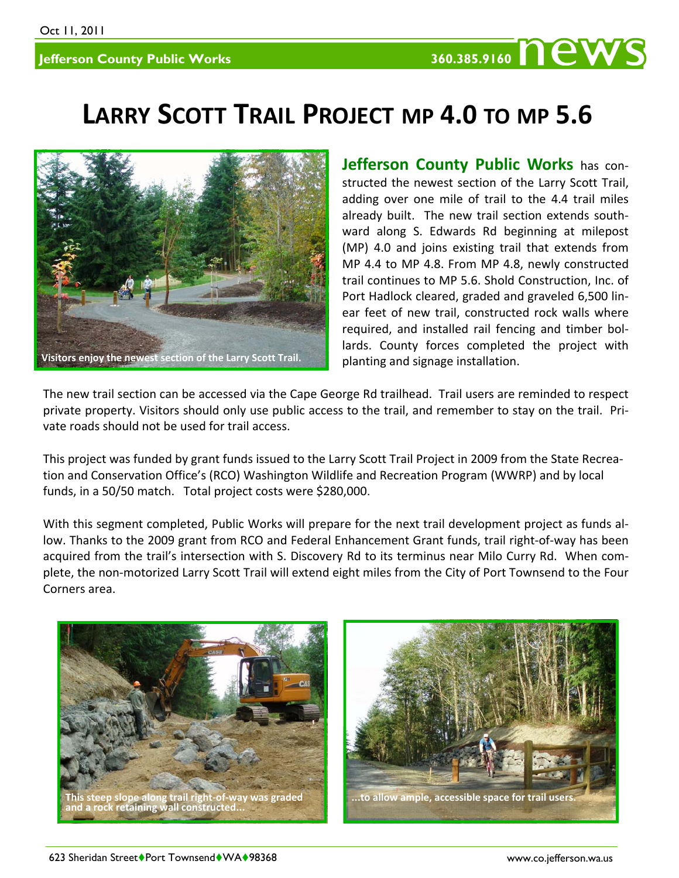## **LARRY SCOTT TRAIL PROJECT MP 4.0 TO MP 5.6**



**Jefferson County Public Works** has con‐ structed the newest section of the Larry Scott Trail, adding over one mile of trail to the 4.4 trail miles already built. The new trail section extends southward along S. Edwards Rd beginning at milepost (MP) 4.0 and joins existing trail that extends from MP 4.4 to MP 4.8. From MP 4.8, newly constructed trail continues to MP 5.6. Shold Construction, Inc. of Port Hadlock cleared, graded and graveled 6,500 lin‐ ear feet of new trail, constructed rock walls where required, and installed rail fencing and timber bol‐ lards. County forces completed the project with planting and signage installation.

The new trail section can be accessed via the Cape George Rd trailhead. Trail users are reminded to respect private property. Visitors should only use public access to the trail, and remember to stay on the trail. Pri‐ vate roads should not be used for trail access.

This project was funded by grant funds issued to the Larry Scott Trail Project in 2009 from the State Recrea‐ tion and Conservation Office's (RCO) Washington Wildlife and Recreation Program (WWRP) and by local funds, in a 50/50 match. Total project costs were \$280,000.

With this segment completed, Public Works will prepare for the next trail development project as funds al‐ low. Thanks to the 2009 grant from RCO and Federal Enhancement Grant funds, trail right‐of‐way has been acquired from the trail's intersection with S. Discovery Rd to its terminus near Milo Curry Rd. When com‐ plete, the non‐motorized Larry Scott Trail will extend eight miles from the City of Port Townsend to the Four Corners area.